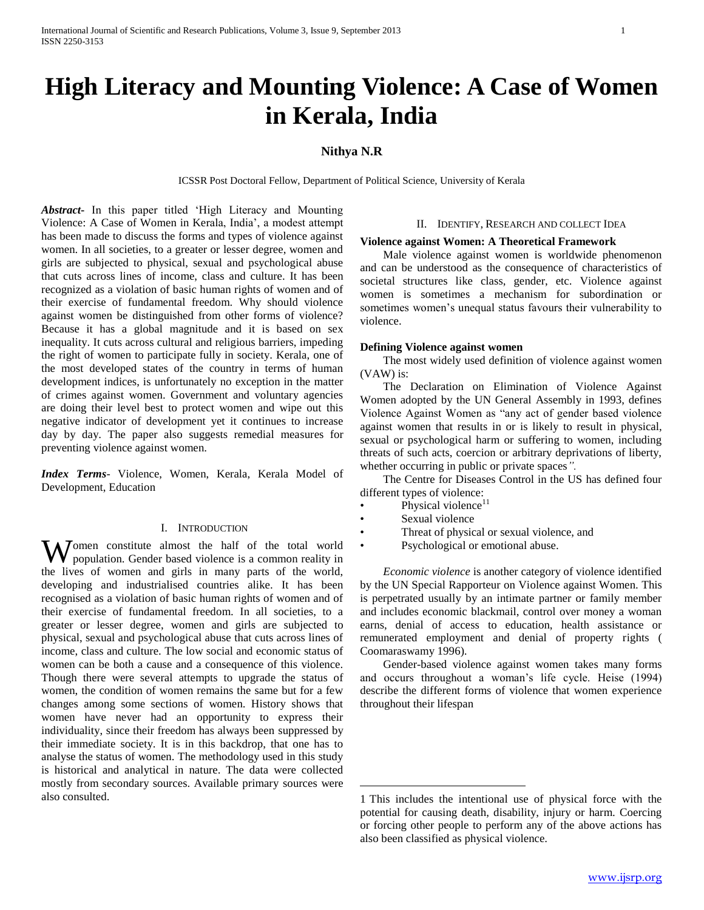# **High Literacy and Mounting Violence: A Case of Women in Kerala, India**

## **Nithya N.R**

ICSSR Post Doctoral Fellow, Department of Political Science, University of Kerala

*Abstract***-** In this paper titled 'High Literacy and Mounting Violence: A Case of Women in Kerala, India', a modest attempt has been made to discuss the forms and types of violence against women. In all societies, to a greater or lesser degree, women and girls are subjected to physical, sexual and psychological abuse that cuts across lines of income, class and culture. It has been recognized as a violation of basic human rights of women and of their exercise of fundamental freedom. Why should violence against women be distinguished from other forms of violence? Because it has a global magnitude and it is based on sex inequality. It cuts across cultural and religious barriers, impeding the right of women to participate fully in society. Kerala, one of the most developed states of the country in terms of human development indices, is unfortunately no exception in the matter of crimes against women. Government and voluntary agencies are doing their level best to protect women and wipe out this negative indicator of development yet it continues to increase day by day. The paper also suggests remedial measures for preventing violence against women.

*Index Terms*- Violence, Women, Kerala, Kerala Model of Development, Education

## I. INTRODUCTION

Women constitute almost the half of the total world population. Gender based violence is a common reality in population. Gender based violence is a common reality in the lives of women and girls in many parts of the world, developing and industrialised countries alike. It has been recognised as a violation of basic human rights of women and of their exercise of fundamental freedom. In all societies, to a greater or lesser degree, women and girls are subjected to physical, sexual and psychological abuse that cuts across lines of income, class and culture. The low social and economic status of women can be both a cause and a consequence of this violence. Though there were several attempts to upgrade the status of women, the condition of women remains the same but for a few changes among some sections of women. History shows that women have never had an opportunity to express their individuality, since their freedom has always been suppressed by their immediate society. It is in this backdrop, that one has to analyse the status of women. The methodology used in this study is historical and analytical in nature. The data were collected mostly from secondary sources. Available primary sources were also consulted.

#### II. IDENTIFY, RESEARCH AND COLLECT IDEA

#### **Violence against Women: A Theoretical Framework**

 Male violence against women is worldwide phenomenon and can be understood as the consequence of characteristics of societal structures like class, gender, etc. Violence against women is sometimes a mechanism for subordination or sometimes women's unequal status favours their vulnerability to violence.

## **Defining Violence against women**

 The most widely used definition of violence against women (VAW) is:

 The Declaration on Elimination of Violence Against Women adopted by the UN General Assembly in 1993, defines Violence Against Women as "any act of gender based violence against women that results in or is likely to result in physical, sexual or psychological harm or suffering to women, including threats of such acts, coercion or arbitrary deprivations of liberty, whether occurring in public or private spaces*".*

 The Centre for Diseases Control in the US has defined four different types of violence:

- Physical violence $11$
- Sexual violence

 $\overline{a}$ 

- Threat of physical or sexual violence, and
	- Psychological or emotional abuse.

 *Economic violence* is another category of violence identified by the UN Special Rapporteur on Violence against Women. This is perpetrated usually by an intimate partner or family member and includes economic blackmail, control over money a woman earns, denial of access to education, health assistance or remunerated employment and denial of property rights ( Coomaraswamy 1996)*.*

 Gender-based violence against women takes many forms and occurs throughout a woman's life cycle. Heise (1994) describe the different forms of violence that women experience throughout their lifespan

<sup>1</sup> <sup>1</sup>This includes the intentional use of physical force with the potential for causing death, disability, injury or harm. Coercing or forcing other people to perform any of the above actions has also been classified as physical violence.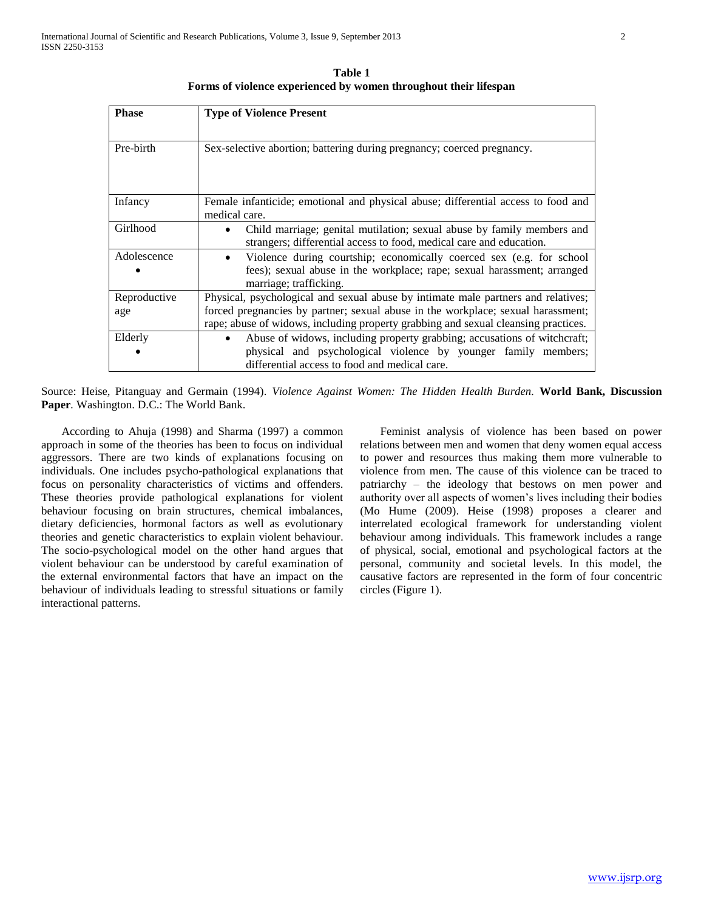**Table 1 Forms of violence experienced by women throughout their lifespan**

| <b>Phase</b> | <b>Type of Violence Present</b>                                                                    |  |  |  |  |  |
|--------------|----------------------------------------------------------------------------------------------------|--|--|--|--|--|
|              |                                                                                                    |  |  |  |  |  |
| Pre-birth    | Sex-selective abortion; battering during pregnancy; coerced pregnancy.                             |  |  |  |  |  |
|              |                                                                                                    |  |  |  |  |  |
|              |                                                                                                    |  |  |  |  |  |
| Infancy      | Female infanticide; emotional and physical abuse; differential access to food and<br>medical care. |  |  |  |  |  |
| Girlhood     | Child marriage; genital mutilation; sexual abuse by family members and<br>$\bullet$                |  |  |  |  |  |
|              | strangers; differential access to food, medical care and education.                                |  |  |  |  |  |
| Adolescence  | Violence during courtship; economically coerced sex (e.g. for school<br>$\bullet$                  |  |  |  |  |  |
|              | fees); sexual abuse in the workplace; rape; sexual harassment; arranged<br>marriage; trafficking.  |  |  |  |  |  |
| Reproductive | Physical, psychological and sexual abuse by intimate male partners and relatives;                  |  |  |  |  |  |
| age          | forced pregnancies by partner; sexual abuse in the workplace; sexual harassment;                   |  |  |  |  |  |
|              | rape; abuse of widows, including property grabbing and sexual cleansing practices.                 |  |  |  |  |  |
| Elderly      | Abuse of widows, including property grabbing; accusations of witchcraft;                           |  |  |  |  |  |
|              | physical and psychological violence by younger family members;                                     |  |  |  |  |  |
|              | differential access to food and medical care.                                                      |  |  |  |  |  |

Source: Heise, Pitanguay and Germain (1994). *Violence Against Women: The Hidden Health Burden.* **World Bank, Discussion Paper***.* Washington. D.C.: The World Bank.

 According to Ahuja (1998) and Sharma (1997) a common approach in some of the theories has been to focus on individual aggressors. There are two kinds of explanations focusing on individuals. One includes psycho-pathological explanations that focus on personality characteristics of victims and offenders. These theories provide pathological explanations for violent behaviour focusing on brain structures, chemical imbalances, dietary deficiencies, hormonal factors as well as evolutionary theories and genetic characteristics to explain violent behaviour. The socio-psychological model on the other hand argues that violent behaviour can be understood by careful examination of the external environmental factors that have an impact on the behaviour of individuals leading to stressful situations or family interactional patterns.

 Feminist analysis of violence has been based on power relations between men and women that deny women equal access to power and resources thus making them more vulnerable to violence from men. The cause of this violence can be traced to patriarchy – the ideology that bestows on men power and authority over all aspects of women's lives including their bodies (Mo Hume (2009). Heise (1998) proposes a clearer and interrelated ecological framework for understanding violent behaviour among individuals*.* This framework includes a range of physical, social, emotional and psychological factors at the personal, community and societal levels. In this model, the causative factors are represented in the form of four concentric circles (Figure 1).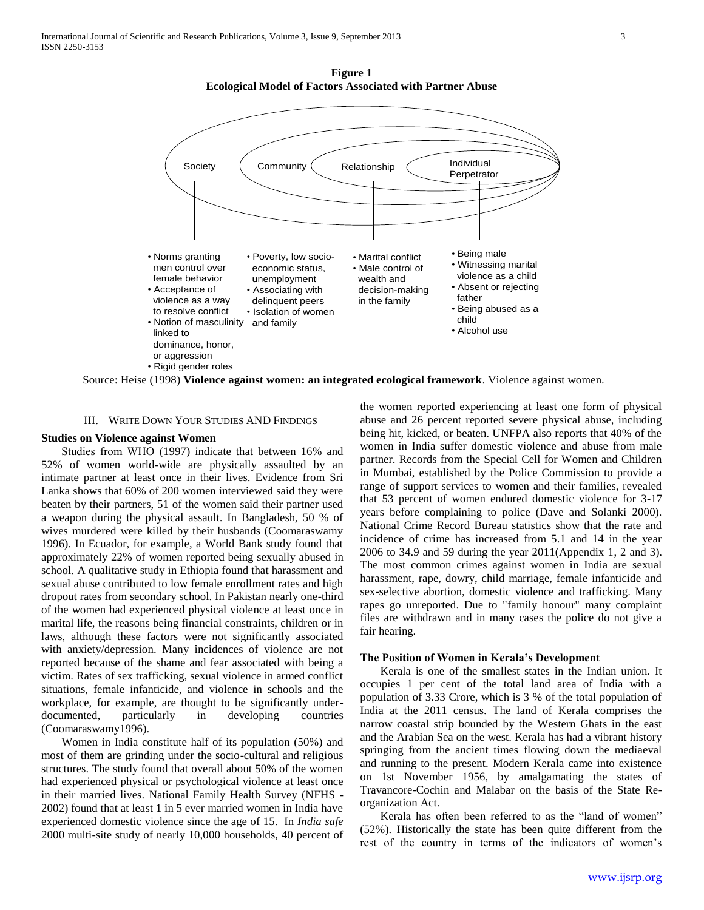**Figure 1 Ecological Model of Factors Associated with Partner Abuse**



Source: Heise (1998) **Violence against women: an integrated ecological framework**. Violence against women.

#### III. WRITE DOWN YOUR STUDIES AND FINDINGS

#### **Studies on Violence against Women**

Studies from WHO (1997) indicate that between 16% and 52% of women world-wide are physically assaulted by an intimate partner at least once in their lives. Evidence from Sri Lanka shows that 60% of 200 women interviewed said they were beaten by their partners, 51 of the women said their partner used a weapon during the physical assault. In Bangladesh, 50 % of wives murdered were killed by their husbands (Coomaraswamy 1996). In Ecuador, for example, a World Bank study found that approximately 22% of women reported being sexually abused in school. A qualitative study in Ethiopia found that harassment and sexual abuse contributed to low female enrollment rates and high dropout rates from secondary school. In Pakistan nearly one-third of the women had experienced physical violence at least once in marital life, the reasons being financial constraints, children or in laws, although these factors were not significantly associated with anxiety/depression. Many incidences of violence are not reported because of the shame and fear associated with being a victim. Rates of sex trafficking, sexual violence in armed conflict situations, female infanticide, and violence in schools and the workplace, for example, are thought to be significantly underdocumented, particularly in developing countries (Coomaraswamy1996).

 Women in India constitute half of its population (50%) and most of them are grinding under the socio-cultural and religious structures. The study found that overall about 50% of the women had experienced physical or psychological violence at least once in their married lives. National Family Health Survey (NFHS - 2002) found that at least 1 in 5 ever married women in India have experienced domestic violence since the age of 15. In *India safe* 2000 multi-site study of nearly 10,000 households, 40 percent of the women reported experiencing at least one form of physical abuse and 26 percent reported severe physical abuse, including being hit, kicked, or beaten. UNFPA also reports that 40% of the women in India suffer domestic violence and abuse from male partner. Records from the Special Cell for Women and Children in Mumbai, established by the Police Commission to provide a range of support services to women and their families, revealed that 53 percent of women endured domestic violence for 3-17 years before complaining to police (Dave and Solanki 2000). National Crime Record Bureau statistics show that the rate and incidence of crime has increased from 5.1 and 14 in the year 2006 to 34.9 and 59 during the year 2011(Appendix 1, 2 and 3). The most common crimes against women in India are sexual harassment, rape, dowry, child marriage, female infanticide and sex-selective abortion, domestic violence and trafficking. Many rapes go unreported. Due to "family honour" many complaint files are withdrawn and in many cases the police do not give a fair hearing.

#### **The Position of Women in Kerala's Development**

 Kerala is one of the smallest states in the Indian union. It occupies 1 per cent of the total land area of India with a population of 3.33 Crore, which is 3 % of the total population of India at the 2011 census. The land of Kerala comprises the narrow coastal strip bounded by the Western Ghats in the east and the Arabian Sea on the west. Kerala has had a vibrant history springing from the ancient times flowing down the mediaeval and running to the present. Modern Kerala came into existence on 1st November 1956, by amalgamating the states of Travancore-Cochin and Malabar on the basis of the State Reorganization Act.

 Kerala has often been referred to as the "land of women" (52%). Historically the state has been quite different from the rest of the country in terms of the indicators of women's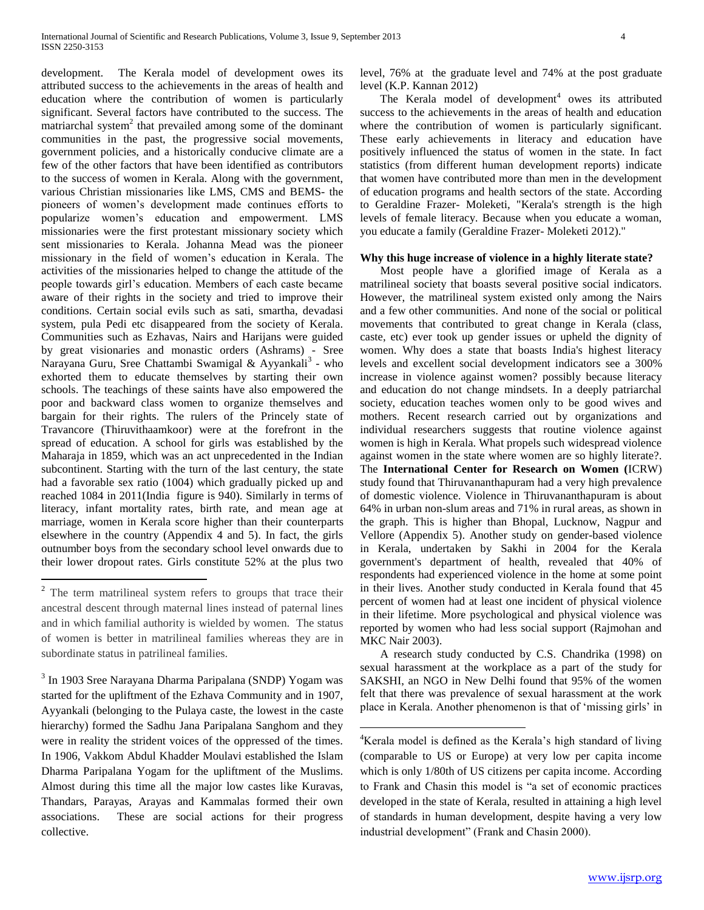development. The Kerala model of development owes its attributed success to the achievements in the areas of health and education where the contribution of women is particularly significant. Several factors have contributed to the success. The matriarchal system<sup>2</sup> that prevailed among some of the dominant communities in the past, the progressive social movements, government policies, and a historically conducive climate are a few of the other factors that have been identified as contributors to the success of women in Kerala. Along with the government, various Christian missionaries like LMS, CMS and BEMS- the pioneers of women's development made continues efforts to popularize women's education and empowerment. LM missionaries were the first protestant missionary society which sent missionaries to Kerala. Johanna Mead was the pioneer missionary in the field of women's education in Kerala. The activities of the missionaries helped to change the attitude of the people towards girl's education. Members of each caste became aware of their rights in the society and tried to improve their conditions. Certain social evils such as sati, smartha, devadasi system, pula Pedi etc disappeared from the society of Kerala. Communities such as Ezhavas, Nairs and Harijans were guided by great visionaries and monastic orders (Ashrams) - Sree Narayana Guru, Sree Chattambi Swamigal & Ayyankali<sup>3</sup> - who exhorted them to educate themselves by starting their own schools. The teachings of these saints have also empowered the poor and backward class women to organize themselves and bargain for their rights. The rulers of the Princely state of Travancore (Thiruvithaamkoor) were at the forefront in the spread of education. A school for girls was established by the Maharaja in 1859, which was an act unprecedented in the Indian subcontinent. Starting with the turn of the last century, the state had a favorable sex ratio (1004) which gradually picked up and reached 1084 in 2011(India figure is 940). Similarly in terms of literacy, infant mortality rates, birth rate, and mean age at marriage, women in Kerala score higher than their counterparts elsewhere in the country (Appendix 4 and 5). In fact, the girls outnumber boys from the secondary school level onwards due to their lower dropout rates. Girls constitute 52% at the plus two

 $\overline{a}$ 

<sup>3</sup> In 1903 Sree Narayana Dharma Paripalana (SNDP) Yogam was started for the upliftment of the Ezhava Community and in 1907, Ayyankali (belonging to the Pulaya caste, the lowest in the caste hierarchy) formed the Sadhu Jana Paripalana Sanghom and they were in reality the strident voices of the oppressed of the times. In 1906, Vakkom Abdul Khadder Moulavi established the Islam Dharma Paripalana Yogam for the upliftment of the Muslims. Almost during this time all the major low castes like Kuravas, Thandars, Parayas, Arayas and Kammalas formed their own associations. These are social actions for their progress collective.

level, 76% at the graduate level and 74% at the post graduate level (K.P. Kannan 2012)

The Kerala model of development $4$  owes its attributed success to the achievements in the areas of health and education where the contribution of women is particularly significant. These early achievements in literacy and education have positively influenced the status of women in the state. In fact statistics (from different human development reports) indicate that women have contributed more than men in the development of education programs and health sectors of the state. According to Geraldine Frazer- Moleketi, "Kerala's strength is the high levels of female literacy. Because when you educate a woman, you educate a family (Geraldine Frazer- Moleketi 2012)."

## **Why this huge increase of violence in a highly literate state?**

 Most people have a glorified image of Kerala as a matrilineal society that boasts several positive social indicators. However, the matrilineal system existed only among the Nairs and a few other communities. And none of the social or political movements that contributed to great change in Kerala (class, caste, etc) ever took up gender issues or upheld the dignity of women. Why does a state that boasts India's highest literacy levels and excellent social development indicators see a 300% increase in violence against women? possibly because literacy and education do not change mindsets. In a deeply patriarchal society, education teaches women only to be good wives and mothers. Recent research carried out by organizations and individual researchers suggests that routine violence against women is high in Kerala. What propels such widespread violence against women in the state where women are so highly literate?. The **International Center for Research on Women (**ICRW) study found that Thiruvananthapuram had a very high prevalence of domestic violence. Violence in Thiruvananthapuram is about 64% in urban non-slum areas and 71% in rural areas, as shown in the graph. This is higher than Bhopal, Lucknow, Nagpur and Vellore (Appendix 5). Another study on gender-based violence in Kerala, undertaken by Sakhi in 2004 for the Kerala government's department of health, revealed that 40% of respondents had experienced violence in the home at some point in their lives. Another study conducted in Kerala found that 45 percent of women had at least one incident of physical violence in their lifetime. More psychological and physical violence was reported by women who had less social support (Rajmohan and MKC Nair 2003).

 A research study conducted by C.S. Chandrika (1998) on sexual harassment at the workplace as a part of the study for SAKSHI, an NGO in New Delhi found that 95% of the women felt that there was prevalence of sexual harassment at the work place in Kerala. Another phenomenon is that of 'missing girls' in

 $\overline{a}$ 

<sup>&</sup>lt;sup>2</sup> The term matrilineal system refers to groups that trace their ancestral descent through maternal lines instead of paternal lines and in which familial authority is wielded by women. The status of women is better in matrilineal families whereas they are in subordinate status in patrilineal families.

<sup>&</sup>lt;sup>4</sup>Kerala model is defined as the Kerala's high standard of living (comparable to US or Europe) at very low per capita income which is only 1/80th of US citizens per capita income. According to Frank and Chasin this model is "a set of economic practices developed in the state of Kerala, resulted in attaining a high level of standards in human development, despite having a very low industrial development" (Frank and Chasin 2000).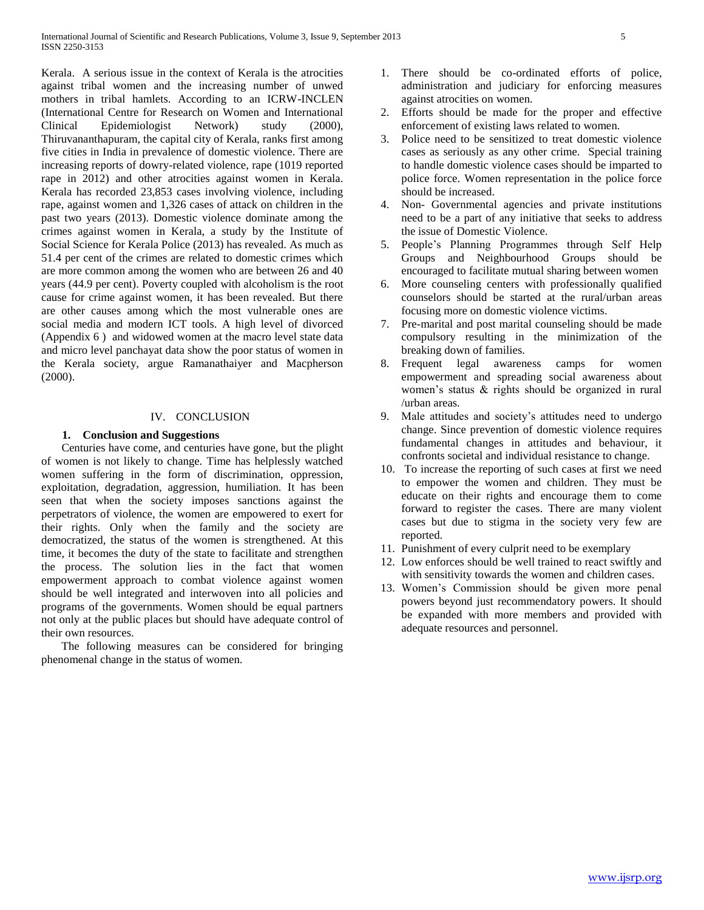Kerala. A serious issue in the context of Kerala is the atrocities against tribal women and the increasing number of unwed mothers in tribal hamlets. According to an ICRW-INCLEN (International Centre for Research on Women and International Clinical Epidemiologist Network) study (2000), Thiruvananthapuram, the capital city of Kerala, ranks first among five cities in India in prevalence of domestic violence. There are increasing reports of dowry-related violence, rape (1019 reported rape in 2012) and other atrocities against women in Kerala. Kerala has recorded 23,853 cases involving violence, including rape, against women and 1,326 cases of attack on children in the past two years (2013). Domestic violence dominate among the crimes against women in Kerala, a study by the Institute of Social Science for Kerala Police (2013) has revealed. As much as 51.4 per cent of the crimes are related to domestic crimes which are more common among the women who are between 26 and 40 years (44.9 per cent). Poverty coupled with alcoholism is the root cause for crime against women, it has been revealed. But there are other causes among which the most vulnerable ones are social media and modern ICT tools. A high level of divorced (Appendix 6 ) and widowed women at the macro level state data and micro level panchayat data show the poor status of women in the Kerala society, argue Ramanathaiyer and Macpherson (2000).

## IV. CONCLUSION

## **1. Conclusion and Suggestions**

 Centuries have come, and centuries have gone, but the plight of women is not likely to change. Time has helplessly watched women suffering in the form of discrimination, oppression, exploitation, degradation, aggression, humiliation. It has been seen that when the society imposes sanctions against the perpetrators of violence, the women are empowered to exert for their rights. Only when the family and the society are democratized, the status of the women is strengthened. At this time, it becomes the duty of the state to facilitate and strengthen the process. The solution lies in the fact that women empowerment approach to combat violence against women should be well integrated and interwoven into all policies and programs of the governments. Women should be equal partners not only at the public places but should have adequate control of their own resources.

 The following measures can be considered for bringing phenomenal change in the status of women.

- 1. There should be co-ordinated efforts of police, administration and judiciary for enforcing measures against atrocities on women.
- 2. Efforts should be made for the proper and effective enforcement of existing laws related to women.
- 3. Police need to be sensitized to treat domestic violence cases as seriously as any other crime. Special training to handle domestic violence cases should be imparted to police force. Women representation in the police force should be increased.
- 4. Non- Governmental agencies and private institutions need to be a part of any initiative that seeks to address the issue of Domestic Violence.
- 5. People's Planning Programmes through Self Help Groups and Neighbourhood Groups should be encouraged to facilitate mutual sharing between women
- 6. More counseling centers with professionally qualified counselors should be started at the rural/urban areas focusing more on domestic violence victims.
- 7. Pre-marital and post marital counseling should be made compulsory resulting in the minimization of the breaking down of families.
- 8. Frequent legal awareness camps for women empowerment and spreading social awareness about women's status & rights should be organized in rural /urban areas.
- 9. Male attitudes and society's attitudes need to undergo change. Since prevention of domestic violence requires fundamental changes in attitudes and behaviour, it confronts societal and individual resistance to change.
- 10. To increase the reporting of such cases at first we need to empower the women and children. They must be educate on their rights and encourage them to come forward to register the cases. There are many violent cases but due to stigma in the society very few are reported.
- 11. Punishment of every culprit need to be exemplary
- 12. Low enforces should be well trained to react swiftly and with sensitivity towards the women and children cases.
- 13. Women's Commission should be given more penal powers beyond just recommendatory powers. It should be expanded with more members and provided with adequate resources and personnel.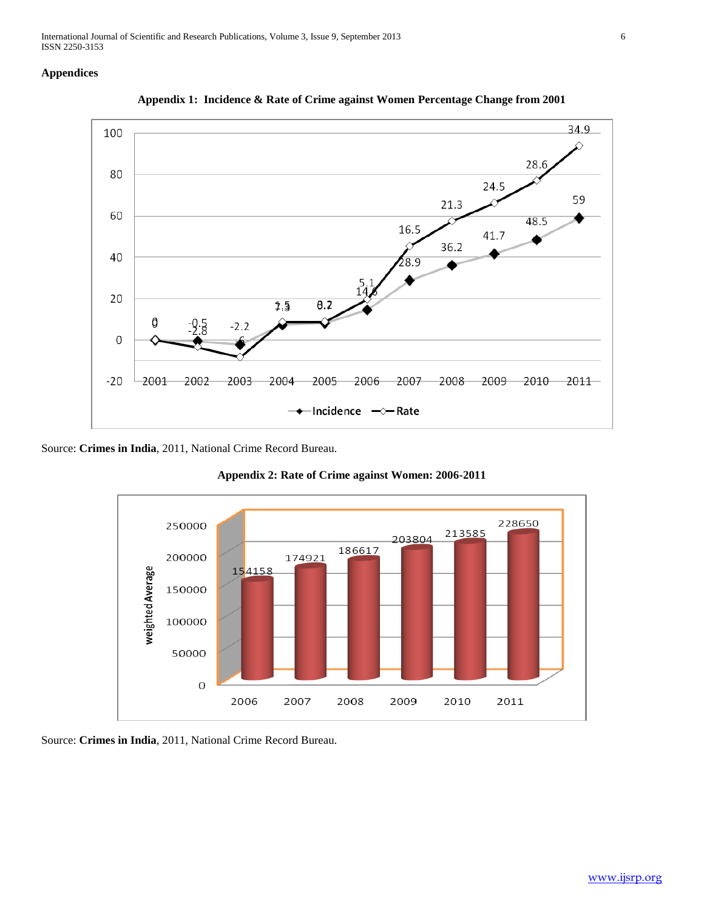International Journal of Scientific and Research Publications, Volume 3, Issue 9, September 2013 6 ISSN 2250-3153

## **Appendices**





Source: **Crimes in India**, 2011, National Crime Record Bureau.



**Appendix 2: Rate of Crime against Women: 2006-2011**

Source: **Crimes in India**, 2011, National Crime Record Bureau.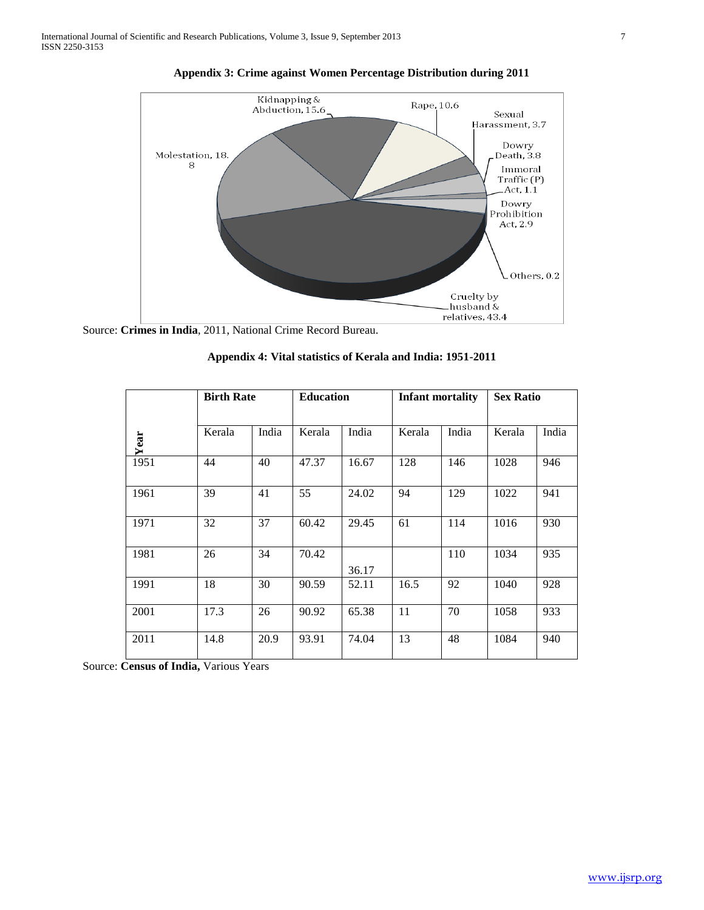

**Appendix 3: Crime against Women Percentage Distribution during 2011**

Source: **Crimes in India**, 2011, National Crime Record Bureau.

|      | <b>Birth Rate</b> |       | <b>Education</b> |       | <b>Infant mortality</b> |       | <b>Sex Ratio</b> |       |
|------|-------------------|-------|------------------|-------|-------------------------|-------|------------------|-------|
| Year | Kerala            | India | Kerala           | India | Kerala                  | India | Kerala           | India |
| 1951 | 44                | 40    | 47.37            | 16.67 | 128                     | 146   | 1028             | 946   |
| 1961 | 39                | 41    | 55               | 24.02 | 94                      | 129   | 1022             | 941   |
| 1971 | 32                | 37    | 60.42            | 29.45 | 61                      | 114   | 1016             | 930   |
| 1981 | 26                | 34    | 70.42            | 36.17 |                         | 110   | 1034             | 935   |
| 1991 | 18                | 30    | 90.59            | 52.11 | 16.5                    | 92    | 1040             | 928   |
| 2001 | 17.3              | 26    | 90.92            | 65.38 | 11                      | 70    | 1058             | 933   |
| 2011 | 14.8              | 20.9  | 93.91            | 74.04 | 13                      | 48    | 1084             | 940   |

**Appendix 4: Vital statistics of Kerala and India: 1951-2011**

Source: **Census of India,** Various Years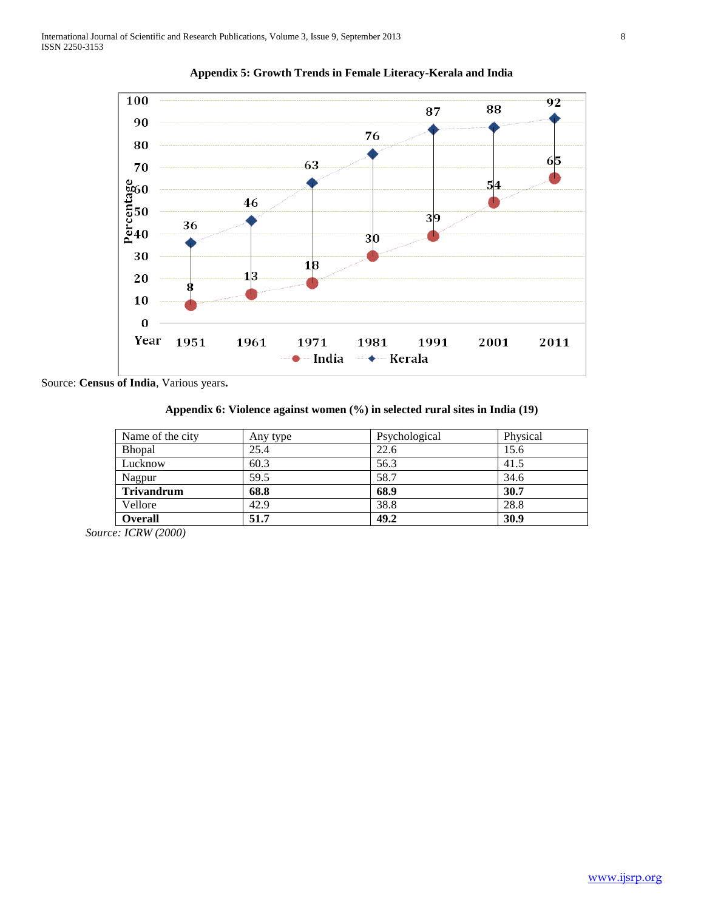



Source: **Census of India**, Various years**.**

**Appendix 6: Violence against women (%) in selected rural sites in India (19)**

| Name of the city  | Any type | Psychological | Physical |
|-------------------|----------|---------------|----------|
| <b>Bhopal</b>     | 25.4     | 22.6          | 15.6     |
| Lucknow           | 60.3     | 56.3          | 41.5     |
| Nagpur            | 59.5     | 58.7          | 34.6     |
| <b>Trivandrum</b> | 68.8     | 68.9          | 30.7     |
| Vellore           | 42.9     | 38.8          | 28.8     |
| <b>Overall</b>    | 51.7     | 49.2          | 30.9     |

*Source: ICRW (2000)*